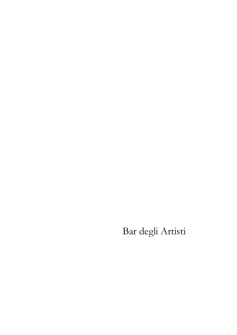# Bar degli Artisti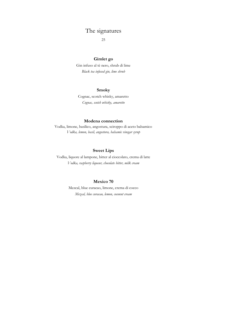### The signatures

25

#### **Gimlet go**

Gin infuso al tè nero, shrub di lime *Black tea infused gin, lime shrub*

#### **Smoky**

Cognac, scotch whisky, amaretto *Cognac, scotch whisky, amaretto*

#### **Modena connection**

Vodka, limone, basilico, angostura, sciroppo di aceto balsamico *Vodka, lemon, basil, angostura, balsamic vinegar syrup*

#### **Sweet Lips**

Vodka, liquore al lampone, bitter al cioccolato, crema di latte *Vodka, raspberry liqueur, chocolate bitter, milk cream*

#### **Mexico 70**

Mezcal, blue curacao, limone, crema di cocco *Mezcal, blue curacao, lemon, coconut cream*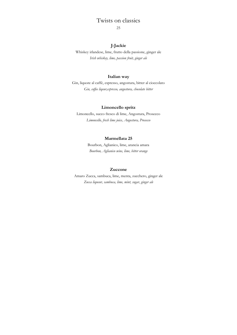### Twists on classics

25

#### **J-Jackie**

Whiskey irlandese, lime, frutto della passione, ginger ale *Irish whiskey, lime, passion fruit, ginger ale*

#### **Italian way**

Gin, liquore al caffè, espresso, angostura, bitter al cioccolato *Gin, coffee liqeur,espresso, angostura, chocolate bitter*

#### **Limoncello spritz**

Limoncello, succo fresco di lime, Angostura, Prosecco *Limoncello, fresh lime juice, Angostura, Prosecco*

#### **Marmellata 25**

Bourbon, Aglianico, lime, arancia amara *Bourbon, Aglianico wine, lime, bitter orange* 

#### **Zuccone**

Amaro Zucca, sambuca, lime, menta, zucchero, ginger ale *Zucca liqueur, sambuca, lime, mint, sugar, ginger ale*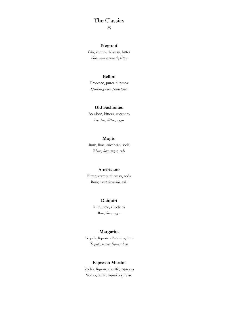### The Classics

25

#### **Negroni**

Gin, vermouth rosso, bitter *Gin, sweet vermouth, bitter*

#### **Bellini**

Prosecco, purea di pesca *Sparkling wine, peach puree*

#### **Old Fashioned**

Bourbon, bitters, zucchero *Bourbon, bitters, sugar*

#### **Mojito**

Rum, lime, zucchero, soda *Rhum, lime, sugar, soda*

#### **Americano**

Bitter, vermouth rosso, soda *Bitter, sweet vermouth, soda*

#### **Daiquiri**

Rum, lime, zucchero *Rum, lime, sugar*

#### **Margarita**

Tequila, liquore all'arancia, lime *Tequila, orange liqueur, lime*

#### **Espresso Martini**

Vodka, liquore al caffè, espresso Vodka, coffee liquor, espresso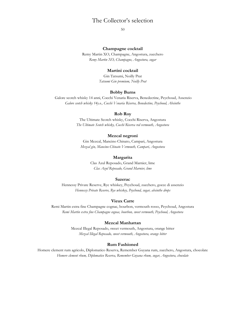### The Collector's selection

50

#### **Champagne cocktail**

Remy Martin XO, Champagne, Angostura, zucchero *Remy Martin XO, Champagne, Angostura, sugar*

#### **Martini cocktail**

Gin Tatsumi, Noilly Prat *Tatsumi Gin premium, Noilly Prat*

#### **Bobby Burns**

Galore scotch whisky 14 anni, Cocchi Venaria Riserva, Benedectine, Peychoud, Assenzio *Galore scotch whisky 14y.o., Cocchi Venaria Riserva, Benedectine, Peychoud, Absinthe*

#### **Rob Roy**

The Ultimate Scotch whisky, Cocchi Riserva, Angostura *The Ultimate Scotch whisky, Cocchi Riserva red vermouth, Angostura*

#### **Mezcal negroni**

Gin Mezcal, Mancino Chinato, Campari, Angostura *Mezcal gin, Mancino Chinato Vermouth, Campari, Angostura*

#### **Margarita**

Clas Azul Reposado, Grand Marnier, lime *Clas Azul Reposado, Grand Marnier, lime*

#### **Sazerac**

Hennessy Private Reserve, Rye whiskey, Peychoud, zucchero, gocce di assenzio *Hennessy Private Reserve, Rye whiskey, Peychoud, sugar, absinthe drops*

#### **Vieux Carre**

Remi Martin extra fine Champagne cognac, bourbon, vermouth rosso, Peychoud, Angostura *Remi Martin extra fine Champagne cognac, bourbon, sweet vermouth, Peychoud, Angostura*

#### **Mezcal Manhattan**

Mezcal Illegal Reposado, sweet vermouth, Angostura, orange bitter *Mezcal Illegal Reposado, sweet vermouth, Angostura, orange bitter*

#### **Rum Fashioned**

Homere clement rum agricolo, Diplomatico Reserva, Remember Guyana rum, zucchero, Angostura, chocolate *Homere clement rhum, Diplomatico Reserva, Remember Guyana rhum, sugar, Angostura, chocolate*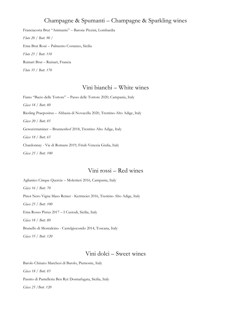### Champagne & Spumanti – Champagne & Sparkling wines

Franciacorta Brut "Animante" – Barone Pizzini, Lombardia *Flute 20 / Bott. 90 /*  Etna Brut Rosè – Palmento Costanzo, Sicilia *Flute 25 / Bott. 110*  Ruinart Brut – Ruinart, Francia *Flute 35 / Bott. 170* 

### Vini bianchi – White wines

Fiano "Bacio delle Tortore" – Passo delle Tortore 2020, Campania, Italy *Glass 18 / Bott. 80* Riesling Praepositus – Abbazia di Novacella 2020, Trentino-Alto Adige, Italy *Glass 20 / Bott. 85*  Gewurztraminer – Brunnenhof 2018, Trentino Alto Adige, Italy *Glass 18 / Bott. 65*  Chardonnay - Vie di Romans 2019, Friuli-Venezia Giulia, Italy *Glass 25 / Bott. 100* 

### Vini rossi – Red wines

Aglianico Cinque Quercie – Molettieri 2016, Campania, Italy *Glass 16 / Bott. 70*  Pinot Nero Vigna Maso Reiner - Kettmeier 2016, Trentino Alto Adige, Italy *Glass 25 / Bott. 100* Etna Rosso Pistus 2017 – I Custodi, Sicilia, Italy *Glass 18 / Bott. 80*  Brunello di Montalcino - Castelgiocondo 2014, Toscana, Italy *Glass 35 / Bott. 120*

### Vini dolci – Sweet wines

Barolo Chinato Marchesi di Barolo, Piemonte, Italy *Glass 18 / Bott. 85*  Passito di Pantelleria Ben Ryè Donnafugata, Sicilia, Italy *Glass 25 /Bott. 120*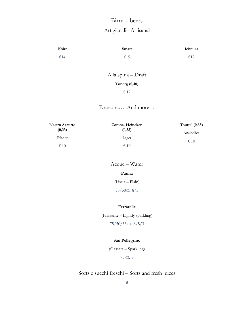### Birre – beers

### Artigianali –Artisanal

| Kbirr | <b>Smart</b> | Ichnusa |
|-------|--------------|---------|
| €14   | €15          | €12     |

Alla spina – Draft **Tuborg (0,40)** € 12

E ancora… And more…

| Nastro Azzurro | Corona, Heineken | Tourtel $(0,33)$ |
|----------------|------------------|------------------|
| (0,33)         | (0,33)           | Analcolica       |
| Pilsner        | Lager            | $\epsilon$ 10    |
| $\epsilon$ 10  | $\epsilon$ 10    |                  |

Acque – Water

#### **Panna**

(Liscia – Plain) 75/50CL 8/5

#### **Ferrarelle**

(Frizzante – Lightly sparkling) 75/50/33 CL 8/5/3

#### **San Pellegrino**

(Gassata – Sparkling)

75 CL 8

### Softs e succhi freschi – Softs and fresh juices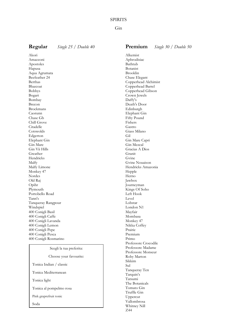#### **SPIRITS**

#### Gin

**Regular** *Single 25 / Double 40*

Akori Amazzoni Apostoles Hapusa Aqua Agrumata Beefeather 24 Berthas Bluecoat Bobbys Bogart Bombay Brecon Brockmans Caorunn Chase Gb Chill Grove Citadelle Cotswolds Edgerton Elephant Gin Gin Mare Gin Vii Hills Greather Hendricks Malfy Malfy Limone Monkey 47 Nordes Old Raj Opihr Plymouth Portobello Road Tann's Tanqueray Rangpour Windspiel 400 Conigli Basil 400 Conigli Caffe 400 Conigli Lavanda 400 Conigli Lemon 400 Conigli Pepe 400 Conigli Pesca 400 Conigli Rosmarino

#### Scegli la tua preferita:

Choose your favourite:

Tonica Indian / classic

Tonica Mediterranean

Tonica light

Tonica al pompelmo rosa

Pink graprefruit tonic

Soda

Alkemist Aphrodisiac Bathtub Botanist Brooklin Chase Elegant Copperhead Alchimist Copperhead Barrel Copperhead Gibson Crown Jewels Daffy's Death's Door Edinburgh Elephant Gin Fifty Pound Fishers Gastro Giass Milano Gil Gin Mare Capri Gin Mezcal Gracias A Dios Granit Gvine Gvine Nouaison Hendricks Amazonia Hepple Herno Jawbox Journeyman Kings Of Soho Left Hook Level Lobstar London N1 Mayfair Mombasa Monkey 47 Nikka Coffey Prairie Premium Primo Professore Crocodile Professore Madame Professore Monseur Roby Marton Sikkim Sul Tanqueray Ten Tarquin's Tatsumi The Botanicals Tomato Gin Truffle Gin Uppercut Vallombrosa Whitney Nill Z44

#### **Premium** *Single 30 / Double 50*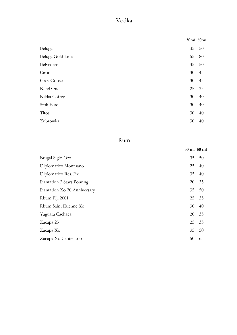### Vodka

|                  | 30ml 50ml |    |
|------------------|-----------|----|
| Beluga           | 35        | 50 |
| Beluga Gold Line | 55        | 80 |
| Belvedere        | 35        | 50 |
| Ciroc            | 30        | 45 |
| Grey Goose       | 30        | 45 |
| Ketel One        | 25        | 35 |
| Nikka Coffey     | 30        | 40 |
| Stoli Elite      | 30        | 40 |
| <b>Titos</b>     | 30        | 40 |
| Zubrowka         | 30        | 40 |

## Rum

|                              |    | 30 ml 50 ml |
|------------------------------|----|-------------|
| Brugal Siglo Oro             | 35 | 50          |
| Diplomatico Montuano         | 25 | 40          |
| Diplomatico Res. Ex          | 35 | 40          |
| Plantation 3 Stars Pouring   | 20 | 35          |
| Plantation Xo 20 Anniversary | 35 | 50          |
| Rhum Fiji 2001               | 25 | 35          |
| Rhum Saint Etienne Xo        | 30 | 40          |
| Yaguara Cachaca              | 20 | 35          |
| Zacapa 23                    | 25 | 35          |
| Zacapa Xo                    | 35 | 50          |
| Zacapa Xo Centenario         | 50 | 65          |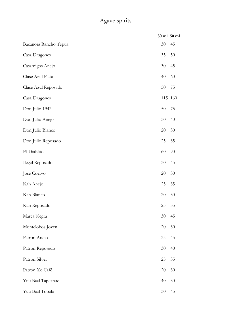## Agave spirits

|                       | 30 ml 50 ml |        |
|-----------------------|-------------|--------|
| Bacanora Rancho Tepua | 30          | 45     |
| Casa Dragones         | 35          | 50     |
| Casamigos Anejo       | 30          | 45     |
| Clase Azul Plata      | 40          | 60     |
| Clase Azul Reposado   | 50          | 75     |
| Casa Dragones         | 115 160     |        |
| Don Julio 1942        | 50          | 75     |
| Don Julio Anejo       | 30          | 40     |
| Don Julio Blanco      | 20          | $30\,$ |
| Don Julio Reposado    | 25          | 35     |
| El Diablito           | 60          | 90     |
| Ilegal Reposado       | 30          | 45     |
| Jose Cuervo           | 20          | $30\,$ |
| Kah Anejo             | 25          | 35     |
| Kah Blanco            | 20          | $30\,$ |
| Kah Reposado          | 25          | 35     |
| Marca Negra           | 30          | 45     |
| Montelobos Joven      | 20          | 30     |
| Patron Anejo          | 35          | 45     |
| Patron Reposado       | 30          | 40     |
| Patron Silver         | 25          | 35     |
| Patron Xo Café        | 20          | 30     |
| Yuu Baal Tapeztate    | 40          | 50     |
| Yuu Baal Tobala       | 30          | 45     |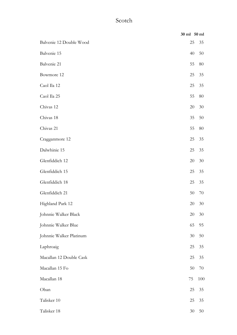### Scotch

|                         | 30 ml 50 ml |        |
|-------------------------|-------------|--------|
| Balvenie 12 Double Wood | 25          | 35     |
| Balvenie 15             | 40          | 50     |
| Balvenie 21             | 55          | 80     |
| Bowmore 12              | 25          | 35     |
| Caol Ila 12             | 25          | 35     |
| Caol Ila 25             | 55          | 80     |
| Chivas 12               | 20          | 30     |
| Chivas 18               | 35          | 50     |
| Chivas 21               | 55          | 80     |
| Cragganmore 12          | 25          | 35     |
| Dalwhinie 15            | 25          | 35     |
| Glenfiddich 12          | 20          | 30     |
| Glenfiddich 15          | 25          | 35     |
| Glenfiddich 18          | 25          | 35     |
| Glenfiddich 21          | 50          | 70     |
| Highland Park 12        | 20          | 30     |
| Johnnie Walker Black    | 20          | 30     |
| Johnnie Walker Blue     | 65          | 95     |
| Johnnie Walker Platinum | 30          | 50     |
| Laphroaig               | 25          | 35     |
| Macallan 12 Double Cask | 25          | 35     |
| Macallan 15 Fo          | 50          | 70     |
| Macallan 18             | 75          | 100    |
| Oban                    | 25          | 35     |
| Talisker 10             | 25          | 35     |
| Talisker 18             | 30          | $50\,$ |